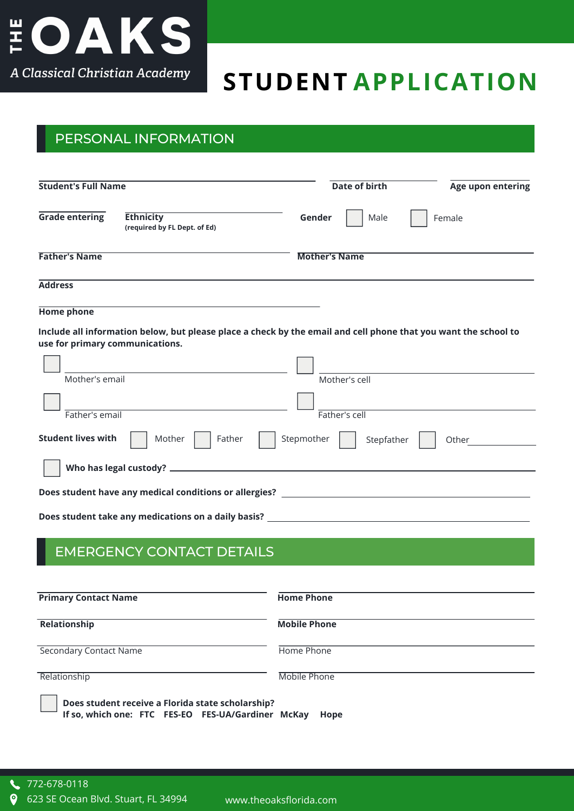

# **STUDENT APPLICATION**

### PERSONAL INFORMATION

| <b>Student's Full Name</b>      |                                                                                                                 | <b>Date of birth</b>     | Age upon entering |
|---------------------------------|-----------------------------------------------------------------------------------------------------------------|--------------------------|-------------------|
| <b>Grade entering</b>           | <b>Ethnicity</b><br>(required by FL Dept. of Ed)                                                                | Gender<br>Male           | Female            |
| <b>Father's Name</b>            |                                                                                                                 | <b>Mother's Name</b>     |                   |
| <b>Address</b>                  |                                                                                                                 |                          |                   |
| <b>Home phone</b>               |                                                                                                                 |                          |                   |
| use for primary communications. | Include all information below, but please place a check by the email and cell phone that you want the school to |                          |                   |
| Mother's email                  |                                                                                                                 | Mother's cell            |                   |
|                                 |                                                                                                                 |                          |                   |
| Father's email                  |                                                                                                                 | Father's cell            |                   |
| <b>Student lives with</b>       | Mother<br>Father                                                                                                | Stepmother<br>Stepfather | Other             |
|                                 |                                                                                                                 |                          |                   |
|                                 | Does student have any medical conditions or allergies? __________________________                               |                          |                   |
|                                 | Does student take any medications on a daily basis? _____________________________                               |                          |                   |

### EMERGENCY CONTACT DETAILS

| <b>Primary Contact Name</b>                                                                             | <b>Home Phone</b>   |
|---------------------------------------------------------------------------------------------------------|---------------------|
| Relationship                                                                                            | <b>Mobile Phone</b> |
| Secondary Contact Name                                                                                  | Home Phone          |
| Relationship                                                                                            | Mobile Phone        |
| Does student receive a Florida state scholarship?<br>If so, which one: FTC FES-EO FES-UA/Gardiner McKay | Hope                |